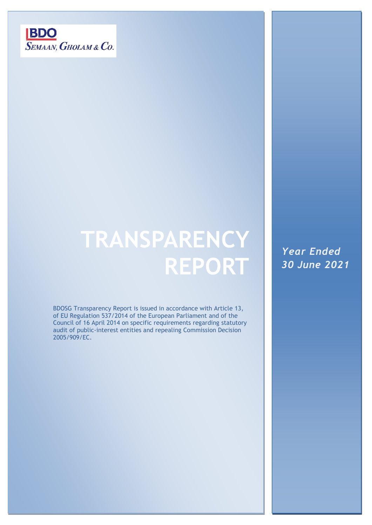

# **TRANSPARENCY REPORT**

BDOSG Transparency Report is issued in accordance with Article 13, of EU Regulation 537/2014 of the European Parliament and of the Council of 16 April 2014 on specific requirements regarding statutory audit of public-interest entities and repealing Commission Decision 2005/909/EC.

*Year Ended 30 June 2021*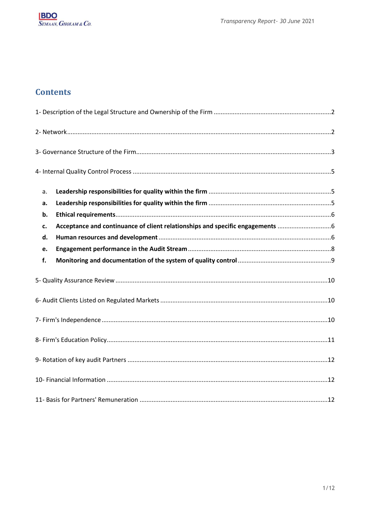## **Contents**

|  | a. |                                                                             |  |  |  |  |
|--|----|-----------------------------------------------------------------------------|--|--|--|--|
|  | a. |                                                                             |  |  |  |  |
|  | b. |                                                                             |  |  |  |  |
|  | c. | Acceptance and continuance of client relationships and specific engagements |  |  |  |  |
|  | d. |                                                                             |  |  |  |  |
|  | e. |                                                                             |  |  |  |  |
|  | f. |                                                                             |  |  |  |  |
|  |    |                                                                             |  |  |  |  |
|  |    |                                                                             |  |  |  |  |
|  |    |                                                                             |  |  |  |  |
|  |    |                                                                             |  |  |  |  |
|  |    |                                                                             |  |  |  |  |
|  |    |                                                                             |  |  |  |  |
|  |    |                                                                             |  |  |  |  |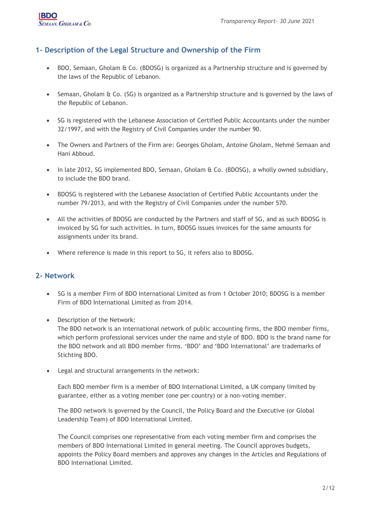## <span id="page-2-0"></span>**1- Description of the Legal Structure and Ownership of the Firm**

- BDO, Semaan, Gholam & Co. (BDOSG) is organized as a Partnership structure and is governed by the laws of the Republic of Lebanon.
- Semaan, Gholam & Co. (SG) is organized as a Partnership structure and is governed by the laws of the Republic of Lebanon.
- SG is registered with the Lebanese Association of Certified Public Accountants under the number 32/1997, and with the Registry of Civil Companies under the number 90.
- The Owners and Partners of the Firm are: Georges Gholam, Antoine Gholam, Nehmé Semaan and Hani Abboud.
- In late 2012, SG implemented BDO, Semaan, Gholam & Co. (BDOSG), a wholly owned subsidiary, to include the BDO brand.
- BDOSG is registered with the Lebanese Association of Certified Public Accountants under the number 79/2013, and with the Registry of Civil Companies under the number 570.
- All the activities of BDOSG are conducted by the Partners and staff of SG, and as such BDOSG is invoiced by SG for such activities. In turn, BDOSG issues invoices for the same amounts for assignments under its brand.
- Where reference is made in this report to SG, it refers also to BDOSG.

## <span id="page-2-1"></span>**2- Network**

- SG is a member Firm of BDO International Limited as from 1 October 2010; BDOSG is a member Firm of BDO International Limited as from 2014.
- Description of the Network:

The BDO network is an international network of public accounting firms, the BDO member firms, which perform professional services under the name and style of BDO. BDO is the brand name for the BDO network and all BDO member firms. 'BDO' and 'BDO International' are trademarks of Stichting BDO.

• Legal and structural arrangements in the network:

Each BDO member firm is a member of BDO International Limited, a UK company limited by guarantee, either as a voting member (one per country) or a non‐voting member.

The BDO network is governed by the Council, the Policy Board and the Executive (or Global Leadership Team) of BDO International Limited.

The Council comprises one representative from each voting member firm and comprises the members of BDO International Limited in general meeting. The Council approves budgets, appoints the Policy Board members and approves any changes in the Articles and Regulations of BDO International Limited.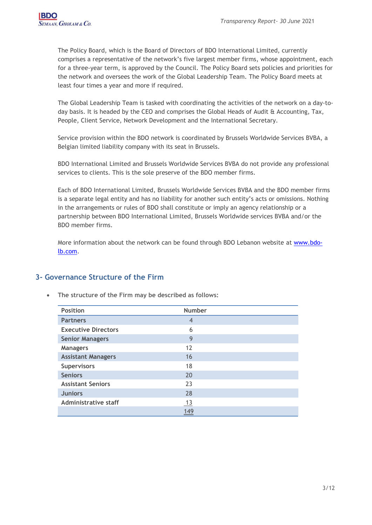The Policy Board, which is the Board of Directors of BDO International Limited, currently comprises a representative of the network's five largest member firms, whose appointment, each for a three-year term, is approved by the Council. The Policy Board sets policies and priorities for the network and oversees the work of the Global Leadership Team. The Policy Board meets at least four times a year and more if required.

The Global Leadership Team is tasked with coordinating the activities of the network on a day-today basis. It is headed by the CEO and comprises the Global Heads of Audit & Accounting, Tax, People, Client Service, Network Development and the International Secretary.

Service provision within the BDO network is coordinated by Brussels Worldwide Services BVBA, a Belgian limited liability company with its seat in Brussels.

BDO International Limited and Brussels Worldwide Services BVBA do not provide any professional services to clients. This is the sole preserve of the BDO member firms.

Each of BDO International Limited, Brussels Worldwide Services BVBA and the BDO member firms is a separate legal entity and has no liability for another such entity's acts or omissions. Nothing in the arrangements or rules of BDO shall constitute or imply an agency relationship or a partnership between BDO International Limited, Brussels Worldwide services BVBA and/or the BDO member firms.

More information about the network can be found through BDO Lebanon website at [www.bdo](http://www.bdo-lb.com/)[lb.com.](http://www.bdo-lb.com/)

## <span id="page-3-0"></span>**3- Governance Structure of the Firm**

| <b>Position</b>            | <b>Number</b> |  |
|----------------------------|---------------|--|
| <b>Partners</b>            | 4             |  |
| <b>Executive Directors</b> | 6             |  |
| <b>Senior Managers</b>     | 9             |  |
| <b>Managers</b>            | 12            |  |
| <b>Assistant Managers</b>  | 16            |  |
| <b>Supervisors</b>         | 18            |  |
| <b>Seniors</b>             | 20            |  |
| <b>Assistant Seniors</b>   | 23            |  |
| <b>Juniors</b>             | 28            |  |
| Administrative staff       | 13            |  |
|                            | 149           |  |

• **The structure of the Firm may be described as follows:**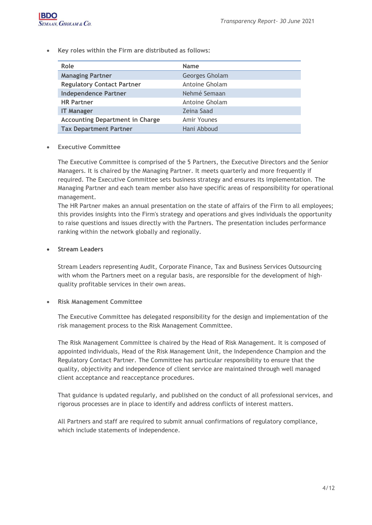• **Key roles within the Firm are distributed as follows:**

| Role                                   | <b>Name</b>    |  |  |
|----------------------------------------|----------------|--|--|
| <b>Managing Partner</b>                | Georges Gholam |  |  |
| <b>Regulatory Contact Partner</b>      | Antoine Gholam |  |  |
| <b>Independence Partner</b>            | Nehmé Semaan   |  |  |
| <b>HR Partner</b>                      | Antoine Gholam |  |  |
| <b>IT Manager</b>                      | Zeina Saad     |  |  |
| <b>Accounting Department in Charge</b> | Amir Younes    |  |  |
| <b>Tax Department Partner</b>          | Hani Abboud    |  |  |

#### • **Executive Committee**

The Executive Committee is comprised of the 5 Partners, the Executive Directors and the Senior Managers. It is chaired by the Managing Partner. It meets quarterly and more frequently if required. The Executive Committee sets business strategy and ensures its implementation. The Managing Partner and each team member also have specific areas of responsibility for operational management.

The HR Partner makes an annual presentation on the state of affairs of the Firm to all employees; this provides insights into the Firm's strategy and operations and gives individuals the opportunity to raise questions and issues directly with the Partners. The presentation includes performance ranking within the network globally and regionally.

#### • **Stream Leaders**

Stream Leaders representing Audit, Corporate Finance, Tax and Business Services Outsourcing with whom the Partners meet on a regular basis, are responsible for the development of highquality profitable services in their own areas.

#### • **Risk Management Committee**

The Executive Committee has delegated responsibility for the design and implementation of the risk management process to the Risk Management Committee.

The Risk Management Committee is chaired by the Head of Risk Management. It is composed of appointed individuals, Head of the Risk Management Unit, the Independence Champion and the Regulatory Contact Partner. The Committee has particular responsibility to ensure that the quality, objectivity and independence of client service are maintained through well managed client acceptance and reacceptance procedures.

That guidance is updated regularly, and published on the conduct of all professional services, and rigorous processes are in place to identify and address conflicts of interest matters.

All Partners and staff are required to submit annual confirmations of regulatory compliance, which include statements of independence.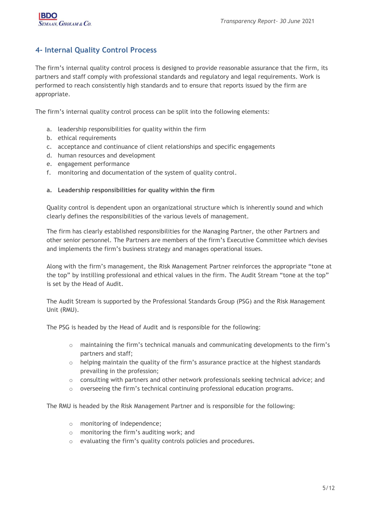## <span id="page-5-0"></span>**4- Internal Quality Control Process**

The firm's internal quality control process is designed to provide reasonable assurance that the firm, its partners and staff comply with professional standards and regulatory and legal requirements. Work is performed to reach consistently high standards and to ensure that reports issued by the firm are appropriate.

<span id="page-5-1"></span>The firm's internal quality control process can be split into the following elements:

- a. leadership responsibilities for quality within the firm
- b. ethical requirements
- c. acceptance and continuance of client relationships and specific engagements
- d. human resources and development
- e. engagement performance
- f. monitoring and documentation of the system of quality control.

#### <span id="page-5-2"></span>**a. Leadership responsibilities for quality within the firm**

Quality control is dependent upon an organizational structure which is inherently sound and which clearly defines the responsibilities of the various levels of management.

The firm has clearly established responsibilities for the Managing Partner, the other Partners and other senior personnel. The Partners are members of the firm's Executive Committee which devises and implements the firm's business strategy and manages operational issues.

Along with the firm's management, the Risk Management Partner reinforces the appropriate "tone at the top" by instilling professional and ethical values in the firm. The Audit Stream "tone at the top" is set by the Head of Audit.

The Audit Stream is supported by the Professional Standards Group (PSG) and the Risk Management Unit (RMU).

The PSG is headed by the Head of Audit and is responsible for the following:

- $\circ$  maintaining the firm's technical manuals and communicating developments to the firm's partners and staff;
- $\circ$  helping maintain the quality of the firm's assurance practice at the highest standards prevailing in the profession;
- $\circ$  consulting with partners and other network professionals seeking technical advice; and
- $\circ$  overseeing the firm's technical continuing professional education programs.

The RMU is headed by the Risk Management Partner and is responsible for the following:

- o monitoring of independence;
- o monitoring the firm's auditing work; and
- o evaluating the firm's quality controls policies and procedures.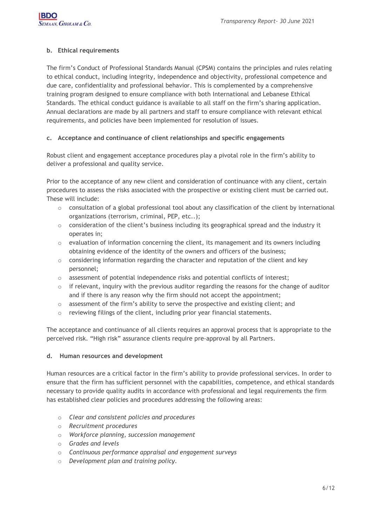#### <span id="page-6-0"></span>**b. Ethical requirements**

The firm's Conduct of Professional Standards Manual (CPSM) contains the principles and rules relating to ethical conduct, including integrity, independence and objectivity, professional competence and due care, confidentiality and professional behavior. This is complemented by a comprehensive training program designed to ensure compliance with both International and Lebanese Ethical Standards. The ethical conduct guidance is available to all staff on the firm's sharing application. Annual declarations are made by all partners and staff to ensure compliance with relevant ethical requirements, and policies have been implemented for resolution of issues.

#### <span id="page-6-1"></span>**c. Acceptance and continuance of client relationships and specific engagements**

Robust client and engagement acceptance procedures play a pivotal role in the firm's ability to deliver a professional and quality service.

Prior to the acceptance of any new client and consideration of continuance with any client, certain procedures to assess the risks associated with the prospective or existing client must be carried out. These will include:

- $\circ$  consultation of a global professional tool about any classification of the client by international organizations (terrorism, criminal, PEP, etc..);
- o consideration of the client's business including its geographical spread and the industry it operates in;
- $\circ$  evaluation of information concerning the client, its management and its owners including obtaining evidence of the identity of the owners and officers of the business;
- $\circ$  considering information regarding the character and reputation of the client and key personnel;
- o assessment of potential independence risks and potential conflicts of interest;
- $\circ$  if relevant, inquiry with the previous auditor regarding the reasons for the change of auditor and if there is any reason why the firm should not accept the appointment;
- $\circ$  assessment of the firm's ability to serve the prospective and existing client; and
- o reviewing filings of the client, including prior year financial statements.

The acceptance and continuance of all clients requires an approval process that is appropriate to the perceived risk. "High risk" assurance clients require pre-approval by all Partners.

#### <span id="page-6-2"></span>**d. Human resources and development**

Human resources are a critical factor in the firm's ability to provide professional services. In order to ensure that the firm has sufficient personnel with the capabilities, competence, and ethical standards necessary to provide quality audits in accordance with professional and legal requirements the firm has established clear policies and procedures addressing the following areas:

- o *Clear and consistent policies and procedures*
- o *Recruitment procedures*
- o *Workforce planning, succession management*
- o *Grades and levels*
- o *Continuous performance appraisal and engagement surveys*
- o *Development plan and training policy.*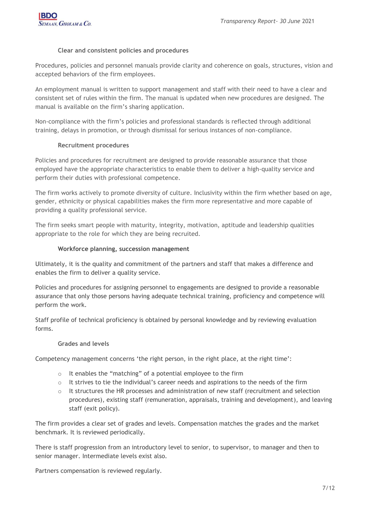#### **Clear and consistent policies and procedures**

Procedures, policies and personnel manuals provide clarity and coherence on goals, structures, vision and accepted behaviors of the firm employees.

An employment manual is written to support management and staff with their need to have a clear and consistent set of rules within the firm. The manual is updated when new procedures are designed. The manual is available on the firm's sharing application.

Non-compliance with the firm's policies and professional standards is reflected through additional training, delays in promotion, or through dismissal for serious instances of non-compliance.

#### **Recruitment procedures**

Policies and procedures for recruitment are designed to provide reasonable assurance that those employed have the appropriate characteristics to enable them to deliver a high-quality service and perform their duties with professional competence.

The firm works actively to promote diversity of culture. Inclusivity within the firm whether based on age, gender, ethnicity or physical capabilities makes the firm more representative and more capable of providing a quality professional service.

The firm seeks smart people with maturity, integrity, motivation, aptitude and leadership qualities appropriate to the role for which they are being recruited.

#### **Workforce planning, succession management**

Ultimately, it is the quality and commitment of the partners and staff that makes a difference and enables the firm to deliver a quality service.

Policies and procedures for assigning personnel to engagements are designed to provide a reasonable assurance that only those persons having adequate technical training, proficiency and competence will perform the work.

Staff profile of technical proficiency is obtained by personal knowledge and by reviewing evaluation forms.

#### **Grades and levels**

Competency management concerns 'the right person, in the right place, at the right time':

- o It enables the "matching" of a potential employee to the firm
- $\circ$  It strives to tie the individual's career needs and aspirations to the needs of the firm
- $\circ$  It structures the HR processes and administration of new staff (recruitment and selection procedures), existing staff (remuneration, appraisals, training and development), and leaving staff (exit policy).

The firm provides a clear set of grades and levels. Compensation matches the grades and the market benchmark. It is reviewed periodically.

There is staff progression from an introductory level to senior, to supervisor, to manager and then to senior manager. Intermediate levels exist also.

Partners compensation is reviewed regularly.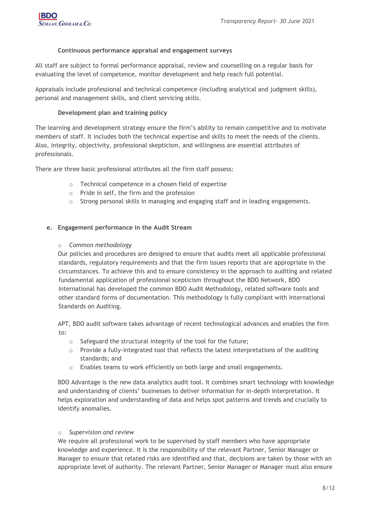#### **Continuous performance appraisal and engagement surveys**

All staff are subject to formal performance appraisal, review and counselling on a regular basis for evaluating the level of competence, monitor development and help reach full potential.

Appraisals include professional and technical competence (including analytical and judgment skills), personal and management skills, and client servicing skills.

#### **Development plan and training policy**

The learning and development strategy ensure the firm's ability to remain competitive and to motivate members of staff. It includes both the technical expertise and skills to meet the needs of the clients. Also, integrity, objectivity, professional skepticism, and willingness are essential attributes of professionals.

There are three basic professional attributes all the firm staff possess:

- o Technical competence in a chosen field of expertise
- o Pride in self, the firm and the profession
- $\circ$  Strong personal skills in managing and engaging staff and in leading engagements.

#### <span id="page-8-0"></span>**e. Engagement performance in the Audit Stream**

#### o *Common methodology*

Our policies and procedures are designed to ensure that audits meet all applicable professional standards, regulatory requirements and that the firm issues reports that are appropriate in the circumstances. To achieve this and to ensure consistency in the approach to auditing and related fundamental application of professional scepticism throughout the BDO Network, BDO International has developed the common BDO Audit Methodology, related software tools and other standard forms of documentation. This methodology is fully compliant with International Standards on Auditing.

APT, BDO audit software takes advantage of recent technological advances and enables the firm to:

- $\circ$  Safeguard the structural integrity of the tool for the future;
- $\circ$  Provide a fully-integrated tool that reflects the latest interpretations of the auditing standards; and
- o Enables teams to work efficiently on both large and small engagements.

BDO Advantage is the new data analytics audit tool. It combines smart technology with knowledge and understanding of clients' businesses to deliver information for in-depth interpretation. It helps exploration and understanding of data and helps spot patterns and trends and crucially to identify anomalies.

#### o *Supervision and review*

We require all professional work to be supervised by staff members who have appropriate knowledge and experience. It is the responsibility of the relevant Partner, Senior Manager or Manager to ensure that related risks are identified and that, decisions are taken by those with an appropriate level of authority. The relevant Partner, Senior Manager or Manager must also ensure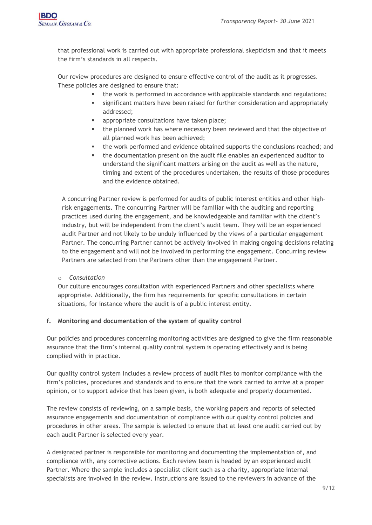

that professional work is carried out with appropriate professional skepticism and that it meets the firm's standards in all respects.

Our review procedures are designed to ensure effective control of the audit as it progresses. These policies are designed to ensure that:

- the work is performed in accordance with applicable standards and regulations;
- significant matters have been raised for further consideration and appropriately addressed;
- appropriate consultations have taken place;
- the planned work has where necessary been reviewed and that the objective of all planned work has been achieved;
- the work performed and evidence obtained supports the conclusions reached; and
- the documentation present on the audit file enables an experienced auditor to understand the significant matters arising on the audit as well as the nature, timing and extent of the procedures undertaken, the results of those procedures and the evidence obtained.

A concurring Partner review is performed for audits of public interest entities and other highrisk engagements. The concurring Partner will be familiar with the auditing and reporting practices used during the engagement, and be knowledgeable and familiar with the client's industry, but will be independent from the client's audit team. They will be an experienced audit Partner and not likely to be unduly influenced by the views of a particular engagement Partner. The concurring Partner cannot be actively involved in making ongoing decisions relating to the engagement and will not be involved in performing the engagement. Concurring review Partners are selected from the Partners other than the engagement Partner.

#### o *Consultation*

Our culture encourages consultation with experienced Partners and other specialists where appropriate. Additionally, the firm has requirements for specific consultations in certain situations, for instance where the audit is of a public interest entity.

#### <span id="page-9-0"></span>**f. Monitoring and documentation of the system of quality control**

Our policies and procedures concerning monitoring activities are designed to give the firm reasonable assurance that the firm's internal quality control system is operating effectively and is being complied with in practice.

Our quality control system includes a review process of audit files to monitor compliance with the firm's policies, procedures and standards and to ensure that the work carried to arrive at a proper opinion, or to support advice that has been given, is both adequate and properly documented.

The review consists of reviewing, on a sample basis, the working papers and reports of selected assurance engagements and documentation of compliance with our quality control policies and procedures in other areas. The sample is selected to ensure that at least one audit carried out by each audit Partner is selected every year.

A designated partner is responsible for monitoring and documenting the implementation of, and compliance with, any corrective actions. Each review team is headed by an experienced audit Partner. Where the sample includes a specialist client such as a charity, appropriate internal specialists are involved in the review. Instructions are issued to the reviewers in advance of the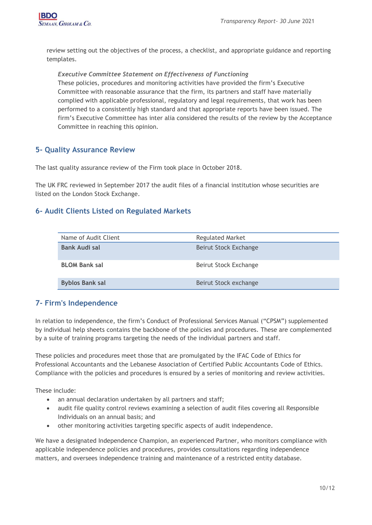

review setting out the objectives of the process, a checklist, and appropriate guidance and reporting templates.

#### *Executive Committee Statement on Effectiveness of Functioning*

These policies, procedures and monitoring activities have provided the firm's Executive Committee with reasonable assurance that the firm, its partners and staff have materially complied with applicable professional, regulatory and legal requirements, that work has been performed to a consistently high standard and that appropriate reports have been issued. The firm's Executive Committee has inter alia considered the results of the review by the Acceptance Committee in reaching this opinion.

## <span id="page-10-0"></span>**5- Quality Assurance Review**

The last quality assurance review of the Firm took place in October 2018.

The UK FRC reviewed in September 2017 the audit files of a financial institution whose securities are listed on the London Stock Exchange.

## <span id="page-10-1"></span>**6- Audit Clients Listed on Regulated Markets**

| Name of Audit Client   | <b>Regulated Market</b> |  |  |
|------------------------|-------------------------|--|--|
| <b>Bank Audi sal</b>   | Beirut Stock Exchange   |  |  |
| <b>BLOM Bank sal</b>   | Beirut Stock Exchange   |  |  |
| <b>Byblos Bank sal</b> | Beirut Stock exchange   |  |  |

## <span id="page-10-2"></span>**7- Firm's Independence**

In relation to independence, the firm's Conduct of Professional Services Manual ("CPSM") supplemented by individual help sheets contains the backbone of the policies and procedures. These are complemented by a suite of training programs targeting the needs of the individual partners and staff.

These policies and procedures meet those that are promulgated by the IFAC Code of Ethics for Professional Accountants and the Lebanese Association of Certified Public Accountants Code of Ethics. Compliance with the policies and procedures is ensured by a series of monitoring and review activities.

These include:

- an annual declaration undertaken by all partners and staff;
- audit file quality control reviews examining a selection of audit files covering all Responsible Individuals on an annual basis; and
- other monitoring activities targeting specific aspects of audit independence.

We have a designated Independence Champion, an experienced Partner, who monitors compliance with applicable independence policies and procedures, provides consultations regarding independence matters, and oversees independence training and maintenance of a restricted entity database.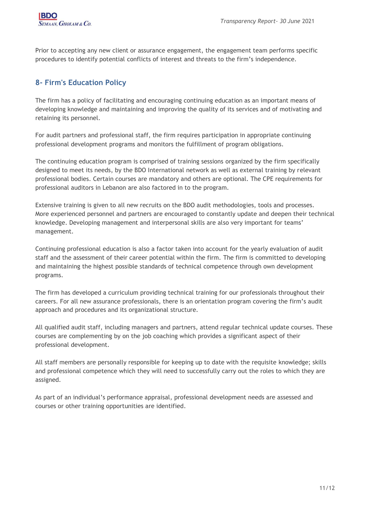Prior to accepting any new client or assurance engagement, the engagement team performs specific procedures to identify potential conflicts of interest and threats to the firm's independence.

## <span id="page-11-0"></span>**8- Firm's Education Policy**

The firm has a policy of facilitating and encouraging continuing education as an important means of developing knowledge and maintaining and improving the quality of its services and of motivating and retaining its personnel.

For audit partners and professional staff, the firm requires participation in appropriate continuing professional development programs and monitors the fulfillment of program obligations.

The continuing education program is comprised of training sessions organized by the firm specifically designed to meet its needs, by the BDO International network as well as external training by relevant professional bodies. Certain courses are mandatory and others are optional. The CPE requirements for professional auditors in Lebanon are also factored in to the program.

Extensive training is given to all new recruits on the BDO audit methodologies, tools and processes. More experienced personnel and partners are encouraged to constantly update and deepen their technical knowledge. Developing management and interpersonal skills are also very important for teams' management.

Continuing professional education is also a factor taken into account for the yearly evaluation of audit staff and the assessment of their career potential within the firm. The firm is committed to developing and maintaining the highest possible standards of technical competence through own development programs.

The firm has developed a curriculum providing technical training for our professionals throughout their careers. For all new assurance professionals, there is an orientation program covering the firm's audit approach and procedures and its organizational structure.

All qualified audit staff, including managers and partners, attend regular technical update courses. These courses are complementing by on the job coaching which provides a significant aspect of their professional development.

All staff members are personally responsible for keeping up to date with the requisite knowledge; skills and professional competence which they will need to successfully carry out the roles to which they are assigned.

As part of an individual's performance appraisal, professional development needs are assessed and courses or other training opportunities are identified.